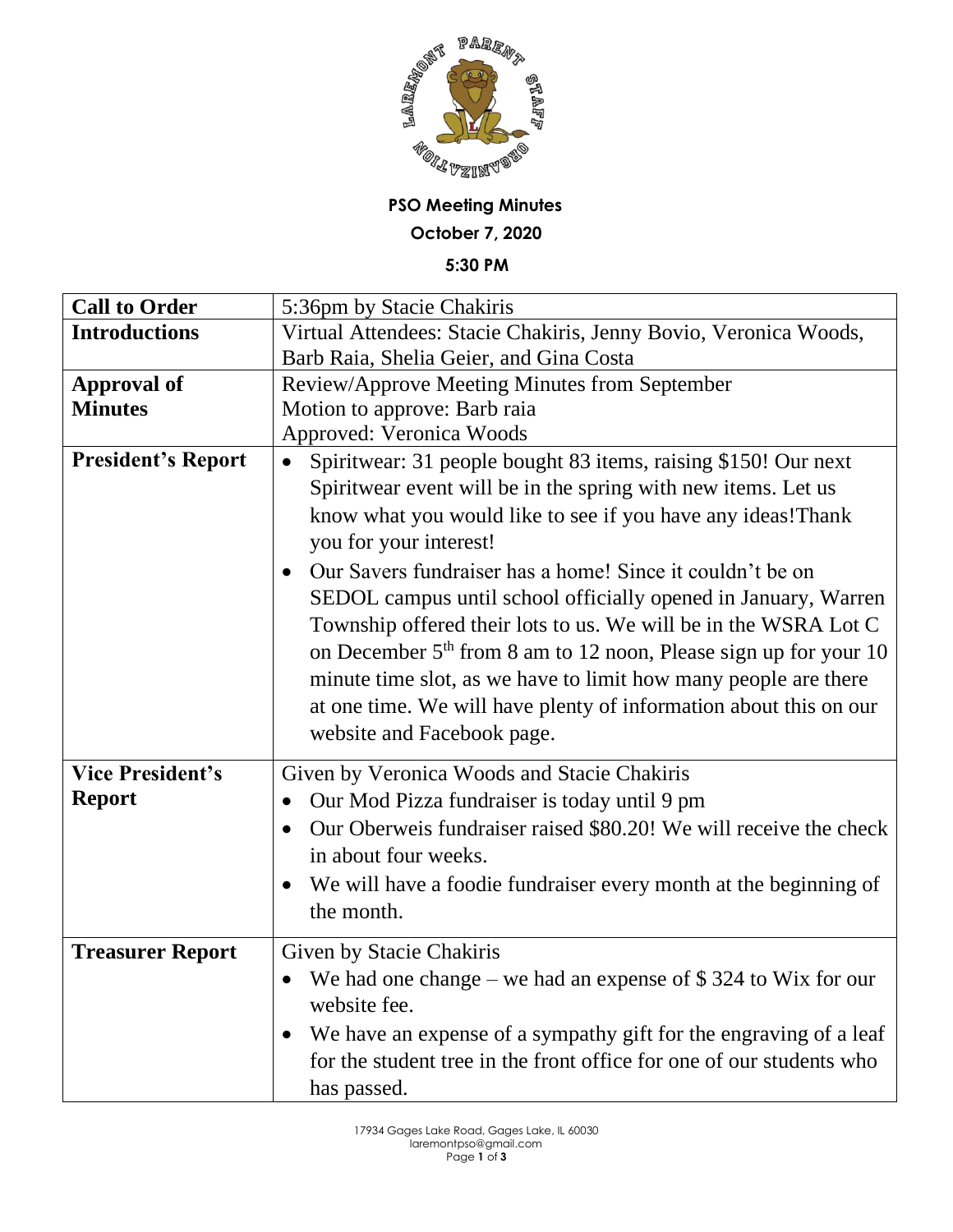

## **PSO Meeting Minutes October 7, 2020**

**5:30 PM**

| <b>Introductions</b><br>Virtual Attendees: Stacie Chakiris, Jenny Bovio, Veronica Woods,<br>Barb Raia, Shelia Geier, and Gina Costa<br>Review/Approve Meeting Minutes from September<br><b>Approval of</b><br><b>Minutes</b><br>Motion to approve: Barb raia<br><b>Approved: Veronica Woods</b> |
|-------------------------------------------------------------------------------------------------------------------------------------------------------------------------------------------------------------------------------------------------------------------------------------------------|
|                                                                                                                                                                                                                                                                                                 |
|                                                                                                                                                                                                                                                                                                 |
|                                                                                                                                                                                                                                                                                                 |
|                                                                                                                                                                                                                                                                                                 |
|                                                                                                                                                                                                                                                                                                 |
| <b>President's Report</b><br>Spiritwear: 31 people bought 83 items, raising \$150! Our next                                                                                                                                                                                                     |
| Spiritwear event will be in the spring with new items. Let us                                                                                                                                                                                                                                   |
| know what you would like to see if you have any ideas! Thank                                                                                                                                                                                                                                    |
| you for your interest!                                                                                                                                                                                                                                                                          |
| Our Savers fundraiser has a home! Since it couldn't be on<br>$\bullet$                                                                                                                                                                                                                          |
| SEDOL campus until school officially opened in January, Warren                                                                                                                                                                                                                                  |
| Township offered their lots to us. We will be in the WSRA Lot C                                                                                                                                                                                                                                 |
| on December 5 <sup>th</sup> from 8 am to 12 noon, Please sign up for your 10                                                                                                                                                                                                                    |
|                                                                                                                                                                                                                                                                                                 |
| minute time slot, as we have to limit how many people are there                                                                                                                                                                                                                                 |
| at one time. We will have plenty of information about this on our                                                                                                                                                                                                                               |
| website and Facebook page.                                                                                                                                                                                                                                                                      |
| <b>Vice President's</b><br>Given by Veronica Woods and Stacie Chakiris                                                                                                                                                                                                                          |
| <b>Report</b><br>Our Mod Pizza fundraiser is today until 9 pm                                                                                                                                                                                                                                   |
| Our Oberweis fundraiser raised \$80.20! We will receive the check                                                                                                                                                                                                                               |
| in about four weeks.                                                                                                                                                                                                                                                                            |
| We will have a foodie fundraiser every month at the beginning of                                                                                                                                                                                                                                |
| the month.                                                                                                                                                                                                                                                                                      |
|                                                                                                                                                                                                                                                                                                 |
| <b>Treasurer Report</b><br>Given by Stacie Chakiris                                                                                                                                                                                                                                             |
| We had one change – we had an expense of $$324$ to Wix for our                                                                                                                                                                                                                                  |
| website fee.                                                                                                                                                                                                                                                                                    |
| We have an expense of a sympathy gift for the engraving of a leaf                                                                                                                                                                                                                               |
| for the student tree in the front office for one of our students who                                                                                                                                                                                                                            |
| has passed.                                                                                                                                                                                                                                                                                     |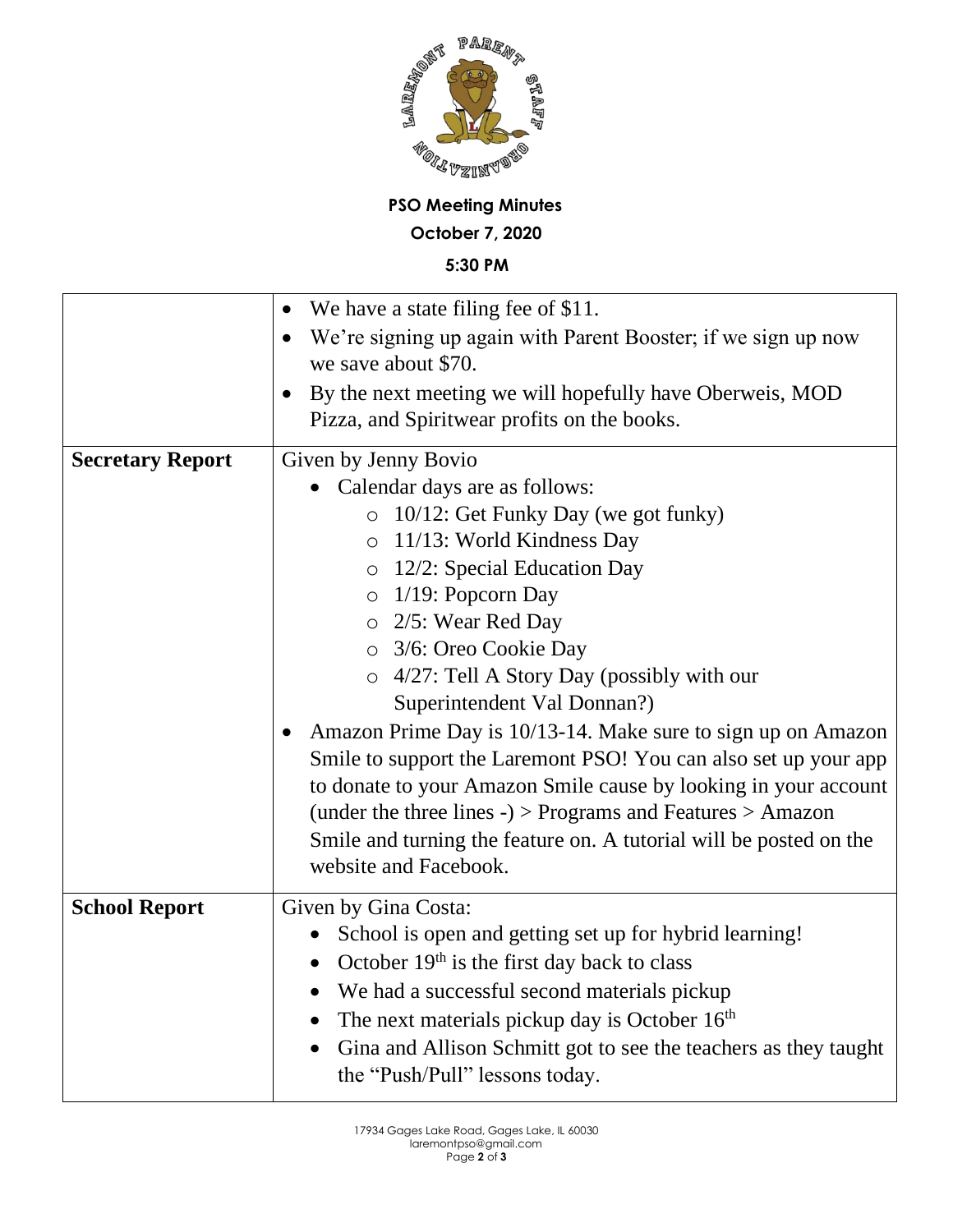

## **PSO Meeting Minutes October 7, 2020**

**5:30 PM**

| We have a state filing fee of \$11.                                                         |
|---------------------------------------------------------------------------------------------|
| We're signing up again with Parent Booster; if we sign up now                               |
| we save about \$70.                                                                         |
| By the next meeting we will hopefully have Oberweis, MOD                                    |
| Pizza, and Spiritwear profits on the books.                                                 |
| Given by Jenny Bovio                                                                        |
| Calendar days are as follows:                                                               |
| 10/12: Get Funky Day (we got funky)<br>$\circ$                                              |
| o 11/13: World Kindness Day                                                                 |
| $\circ$ 12/2: Special Education Day                                                         |
| $\circ$ 1/19: Popcorn Day                                                                   |
| o 2/5: Wear Red Day                                                                         |
| o 3/6: Oreo Cookie Day                                                                      |
| $\circ$ 4/27: Tell A Story Day (possibly with our                                           |
| Superintendent Val Donnan?)                                                                 |
| Amazon Prime Day is 10/13-14. Make sure to sign up on Amazon                                |
| Smile to support the Laremont PSO! You can also set up your app                             |
| to donate to your Amazon Smile cause by looking in your account                             |
| (under the three lines -) $>$ Programs and Features $>$ Amazon                              |
| Smile and turning the feature on. A tutorial will be posted on the<br>website and Facebook. |
|                                                                                             |
| Given by Gina Costa:                                                                        |
| School is open and getting set up for hybrid learning!                                      |
| October $19th$ is the first day back to class<br>$\bullet$                                  |
| We had a successful second materials pickup                                                 |
| The next materials pickup day is October $16th$                                             |
| Gina and Allison Schmitt got to see the teachers as they taught<br>$\bullet$                |
| the "Push/Pull" lessons today.                                                              |
|                                                                                             |